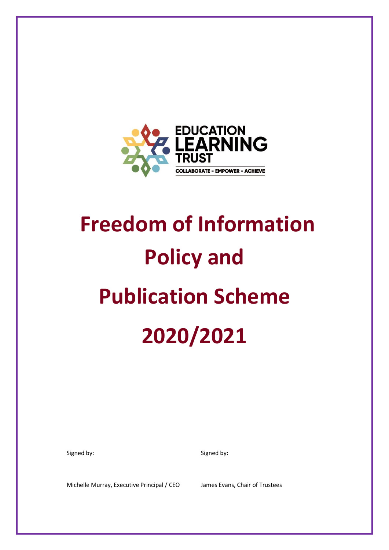

# **Freedom of Information Policy and Publication Scheme 2020/2021**

Signed by: Signed by: Signed by:

Michelle Murray, Executive Principal / CEO James Evans, Chair of Trustees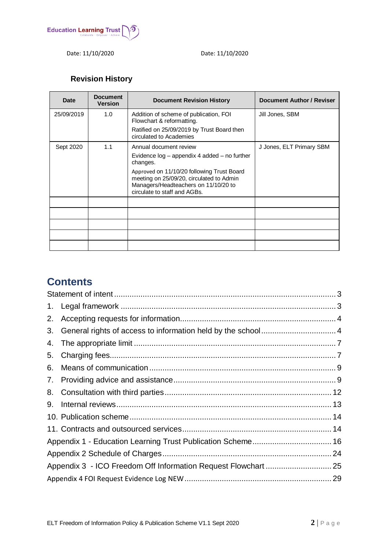

Date: 11/10/2020 Date: 11/10/2020

# **Revision History**

| <b>Date</b> | <b>Document</b><br><b>Version</b> | <b>Document Revision History</b>                                                                                                                               | Document Author / Reviser |
|-------------|-----------------------------------|----------------------------------------------------------------------------------------------------------------------------------------------------------------|---------------------------|
| 25/09/2019  | 1.0                               | Addition of scheme of publication, FOI<br>Flowchart & reformatting.                                                                                            | Jill Jones, SBM           |
|             |                                   | Ratified on 25/09/2019 by Trust Board then<br>circulated to Academies                                                                                          |                           |
| Sept 2020   | 1.1                               | Annual document review                                                                                                                                         | J Jones, ELT Primary SBM  |
|             |                                   | Evidence log - appendix 4 added - no further<br>changes.                                                                                                       |                           |
|             |                                   | Approved on 11/10/20 following Trust Board<br>meeting on 25/09/20, circulated to Admin<br>Managers/Headteachers on 11/10/20 to<br>circulate to staff and AGBs. |                           |
|             |                                   |                                                                                                                                                                |                           |
|             |                                   |                                                                                                                                                                |                           |
|             |                                   |                                                                                                                                                                |                           |
|             |                                   |                                                                                                                                                                |                           |
|             |                                   |                                                                                                                                                                |                           |

# **Contents**

| 2. |  |
|----|--|
| 3. |  |
|    |  |
| 5. |  |
| 6. |  |
|    |  |
|    |  |
| 9. |  |
|    |  |
|    |  |
|    |  |
|    |  |
|    |  |
|    |  |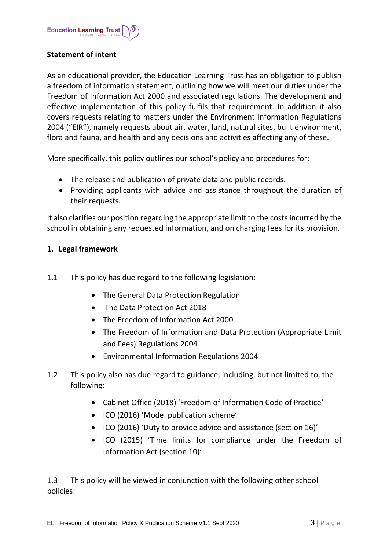## <span id="page-2-0"></span>**Statement of intent**

As an educational provider, the Education Learning Trust has an obligation to publish a freedom of information statement, outlining how we will meet our duties under the Freedom of Information Act 2000 and associated regulations. The development and effective implementation of this policy fulfils that requirement. In addition it also covers requests relating to matters under the Environment Information Regulations 2004 ("EIR"), namely requests about air, water, land, natural sites, built environment, flora and fauna, and health and any decisions and activities affecting any of these.

More specifically, this policy outlines our school's policy and procedures for:

- The release and publication of private data and public records.
- Providing applicants with advice and assistance throughout the duration of their requests.

It also clarifies our position regarding the appropriate limit to the costs incurred by the school in obtaining any requested information, and on charging fees for its provision.

## <span id="page-2-1"></span>**1. Legal framework**

- 1.1 This policy has due regard to the following legislation:
	- The General Data Protection Regulation
	- The Data Protection Act 2018
	- The Freedom of Information Act 2000
	- The Freedom of Information and Data Protection (Appropriate Limit and Fees) Regulations 2004
	- Environmental Information Regulations 2004
- 1.2 This policy also has due regard to guidance, including, but not limited to, the following:
	- Cabinet Office (2018) 'Freedom of Information Code of Practice'
	- ICO (2016) 'Model publication scheme'
	- ICO (2016) 'Duty to provide advice and assistance (section 16)'
	- ICO (2015) 'Time limits for compliance under the Freedom of Information Act (section 10)'

1.3 This policy will be viewed in conjunction with the following other school policies: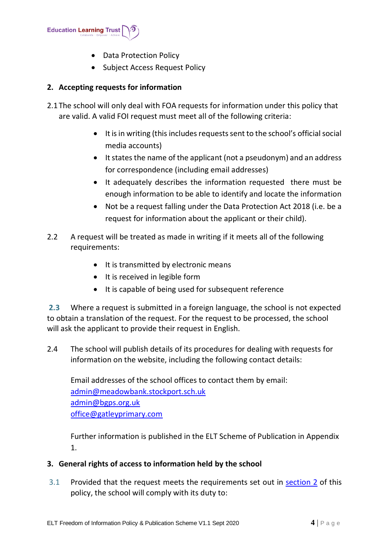

- Data Protection Policy
- Subject Access Request Policy

# <span id="page-3-0"></span>**2. Accepting requests for information**

- 2.1The school will only deal with FOA requests for information under this policy that are valid. A valid FOI request must meet all of the following criteria:
	- It is in writing (this includes requests sent to the school's official social media accounts)
	- It states the name of the applicant (not a pseudonym) and an address for correspondence (including email addresses)
	- It adequately describes the information requested there must be enough information to be able to identify and locate the information
	- Not be a request falling under the Data Protection Act 2018 (i.e. be a request for information about the applicant or their child).
- 2.2 A request will be treated as made in writing if it meets all of the following requirements:
	- It is transmitted by electronic means
	- It is received in legible form
	- It is capable of being used for subsequent reference

**2.3** Where a request is submitted in a foreign language, the school is not expected to obtain a translation of the request. For the request to be processed, the school will ask the applicant to provide their request in English.

2.4 The school will publish details of its procedures for dealing with requests for information on the website, including the following contact details:

Email addresses of the school offices to contact them by email: [admin@meadowbank.stockport.sch.uk](mailto:admin@meadowbank.stockport.sch.uk) [admin@bgps.org.uk](mailto:admin@bgps.org.uk) [office@gatleyprimary.com](mailto:office@gatleyprimary.com)

Further information is published in the ELT Scheme of Publication in Appendix 1.

# <span id="page-3-1"></span>**3. General rights of access to information held by the school**

3.1 Provided that the request meets the requirements set out in [section 2](#page-3-0) of this policy, the school will comply with its duty to: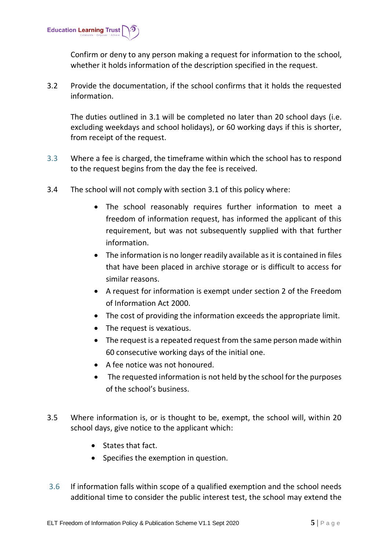

Confirm or deny to any person making a request for information to the school, whether it holds information of the description specified in the request.

3.2 Provide the documentation, if the school confirms that it holds the requested information.

The duties outlined in 3.1 will be completed no later than 20 school days (i.e. excluding weekdays and school holidays), or 60 working days if this is shorter, from receipt of the request.

- 3.3 Where a fee is charged, the timeframe within which the school has to respond to the request begins from the day the fee is received.
- 3.4 The school will not comply with section 3.1 of this policy where:
	- The school reasonably requires further information to meet a freedom of information request, has informed the applicant of this requirement, but was not subsequently supplied with that further information.
	- The information is no longer readily available as it is contained in files that have been placed in archive storage or is difficult to access for similar reasons.
	- A request for information is exempt under section 2 of the Freedom of Information Act 2000.
	- The cost of providing the information exceeds the appropriate limit.
	- The request is vexatious.
	- The request is a repeated request from the same person made within 60 consecutive working days of the initial one.
	- A fee notice was not honoured.
	- The requested information is not held by the school for the purposes of the school's business.
- 3.5 Where information is, or is thought to be, exempt, the school will, within 20 school days, give notice to the applicant which:
	- States that fact.
	- Specifies the exemption in question.
- 3.6 If information falls within scope of a qualified exemption and the school needs additional time to consider the public interest test, the school may extend the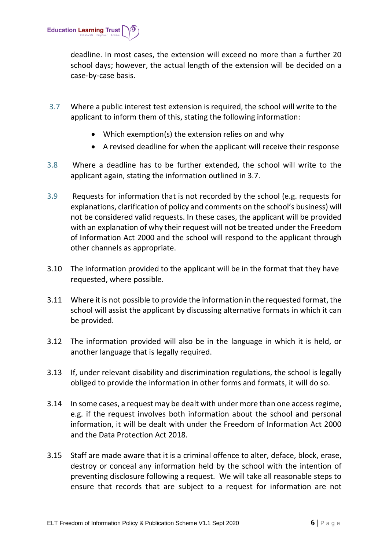

deadline. In most cases, the extension will exceed no more than a further 20 school days; however, the actual length of the extension will be decided on a case-by-case basis.

- 3.7 Where a public interest test extension is required, the school will write to the applicant to inform them of this, stating the following information:
	- Which exemption(s) the extension relies on and why
	- A revised deadline for when the applicant will receive their response
- 3.8 Where a deadline has to be further extended, the school will write to the applicant again, stating the information outlined in 3.7.
- 3**.**9 Requests for information that is not recorded by the school (e.g. requests for explanations, clarification of policy and comments on the school's business) will not be considered valid requests. In these cases, the applicant will be provided with an explanation of why their request will not be treated under the Freedom of Information Act 2000 and the school will respond to the applicant through other channels as appropriate.
- 3.10 The information provided to the applicant will be in the format that they have requested, where possible.
- 3.11 Where it is not possible to provide the information in the requested format, the school will assist the applicant by discussing alternative formats in which it can be provided.
- 3.12 The information provided will also be in the language in which it is held, or another language that is legally required.
- 3.13 If, under relevant disability and discrimination regulations, the school is legally obliged to provide the information in other forms and formats, it will do so.
- 3.14 In some cases, a request may be dealt with under more than one access regime, e.g. if the request involves both information about the school and personal information, it will be dealt with under the Freedom of Information Act 2000 and the Data Protection Act 2018.
- 3.15 Staff are made aware that it is a criminal offence to alter, deface, block, erase, destroy or conceal any information held by the school with the intention of preventing disclosure following a request. We will take all reasonable steps to ensure that records that are subject to a request for information are not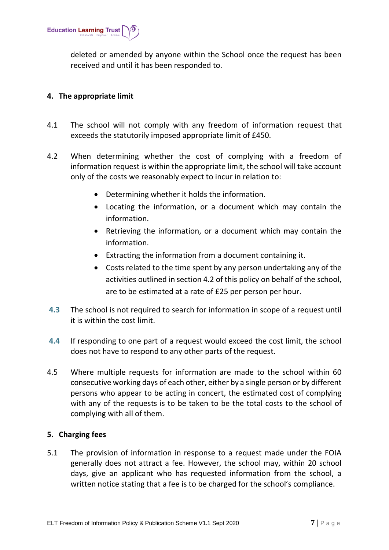

deleted or amended by anyone within the School once the request has been received and until it has been responded to.

#### <span id="page-6-0"></span>**4. The appropriate limit**

- 4.1 The school will not comply with any freedom of information request that exceeds the statutorily imposed appropriate limit of £450.
- 4.2 When determining whether the cost of complying with a freedom of information request is within the appropriate limit, the school will take account only of the costs we reasonably expect to incur in relation to:
	- Determining whether it holds the information.
	- Locating the information, or a document which may contain the information.
	- Retrieving the information, or a document which may contain the information.
	- Extracting the information from a document containing it.
	- Costs related to the time spent by any person undertaking any of the activities outlined in section 4.2 of this policy on behalf of the school, are to be estimated at a rate of £25 per person per hour.
- **4.3** The school is not required to search for information in scope of a request until it is within the cost limit.
- **4.4** If responding to one part of a request would exceed the cost limit, the school does not have to respond to any other parts of the request.
- 4.5 Where multiple requests for information are made to the school within 60 consecutive working days of each other, either by a single person or by different persons who appear to be acting in concert, the estimated cost of complying with any of the requests is to be taken to be the total costs to the school of complying with all of them.

# <span id="page-6-1"></span>**5. Charging fees**

5.1 The provision of information in response to a request made under the FOIA generally does not attract a fee. However, the school may, within 20 school days, give an applicant who has requested information from the school, a written notice stating that a fee is to be charged for the school's compliance.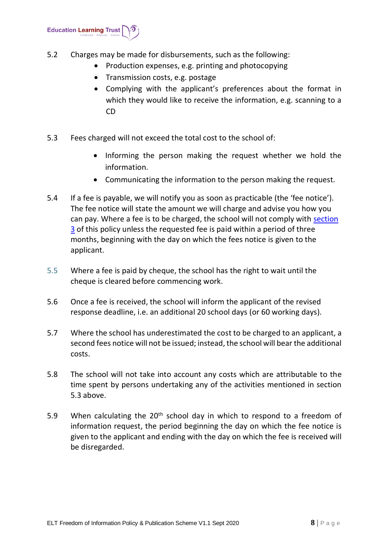

- 5.2 Charges may be made for disbursements, such as the following:
	- Production expenses, e.g. printing and photocopying
	- Transmission costs, e.g. postage
	- Complying with the applicant's preferences about the format in which they would like to receive the information, e.g. scanning to a CD
- 5.3 Fees charged will not exceed the total cost to the school of:
	- Informing the person making the request whether we hold the information.
	- Communicating the information to the person making the request.
- 5.4 If a fee is payable, we will notify you as soon as practicable (the 'fee notice'). The fee notice will state the amount we will charge and advise you how you can pay. Where a fee is to be charged, the school will not comply with section 3 of this policy unless the requested fee is paid within a period of three months, beginning with the day on which the fees notice is given to the applicant.
- 5.5 Where a fee is paid by cheque, the school has the right to wait until the cheque is cleared before commencing work.
- 5.6 Once a fee is received, the school will inform the applicant of the revised response deadline, i.e. an additional 20 school days (or 60 working days).
- 5.7 Where the school has underestimated the cost to be charged to an applicant, a second fees notice will not be issued; instead, the school will bear the additional costs.
- 5.8 The school will not take into account any costs which are attributable to the time spent by persons undertaking any of the activities mentioned in section 5.3 above.
- 5.9 When calculating the  $20<sup>th</sup>$  school day in which to respond to a freedom of information request, the period beginning the day on which the fee notice is given to the applicant and ending with the day on which the fee is received will be disregarded.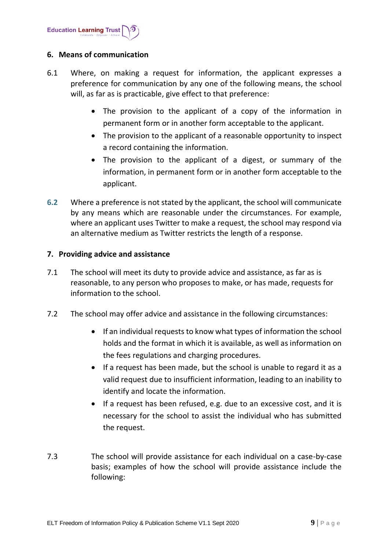

#### <span id="page-8-0"></span>**6. Means of communication**

- 6.1 Where, on making a request for information, the applicant expresses a preference for communication by any one of the following means, the school will, as far as is practicable, give effect to that preference:
	- The provision to the applicant of a copy of the information in permanent form or in another form acceptable to the applicant.
	- The provision to the applicant of a reasonable opportunity to inspect a record containing the information.
	- The provision to the applicant of a digest, or summary of the information, in permanent form or in another form acceptable to the applicant.
- **6.2** Where a preference is not stated by the applicant, the school will communicate by any means which are reasonable under the circumstances. For example, where an applicant uses Twitter to make a request, the school may respond via an alternative medium as Twitter restricts the length of a response.

#### <span id="page-8-1"></span>**7. Providing advice and assistance**

- 7.1 The school will meet its duty to provide advice and assistance, as far as is reasonable, to any person who proposes to make, or has made, requests for information to the school.
- 7.2 The school may offer advice and assistance in the following circumstances:
	- If an individual requests to know what types of information the school holds and the format in which it is available, as well as information on the fees regulations and charging procedures.
	- If a request has been made, but the school is unable to regard it as a valid request due to insufficient information, leading to an inability to identify and locate the information.
	- If a request has been refused, e.g. due to an excessive cost, and it is necessary for the school to assist the individual who has submitted the request.
- 7.3 The school will provide assistance for each individual on a case-by-case basis; examples of how the school will provide assistance include the following: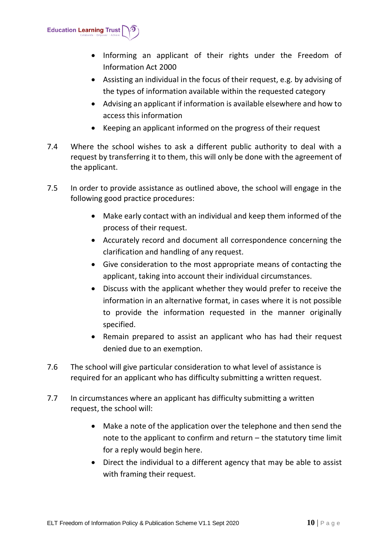

- Informing an applicant of their rights under the Freedom of Information Act 2000
- Assisting an individual in the focus of their request, e.g. by advising of the types of information available within the requested category
- Advising an applicant if information is available elsewhere and how to access this information
- Keeping an applicant informed on the progress of their request
- 7.4 Where the school wishes to ask a different public authority to deal with a request by transferring it to them, this will only be done with the agreement of the applicant.
- 7.5 In order to provide assistance as outlined above, the school will engage in the following good practice procedures:
	- Make early contact with an individual and keep them informed of the process of their request.
	- Accurately record and document all correspondence concerning the clarification and handling of any request.
	- Give consideration to the most appropriate means of contacting the applicant, taking into account their individual circumstances.
	- Discuss with the applicant whether they would prefer to receive the information in an alternative format, in cases where it is not possible to provide the information requested in the manner originally specified.
	- Remain prepared to assist an applicant who has had their request denied due to an exemption.
- 7.6 The school will give particular consideration to what level of assistance is required for an applicant who has difficulty submitting a written request.
- 7.7 In circumstances where an applicant has difficulty submitting a written request, the school will:
	- Make a note of the application over the telephone and then send the note to the applicant to confirm and return – the statutory time limit for a reply would begin here.
	- Direct the individual to a different agency that may be able to assist with framing their request.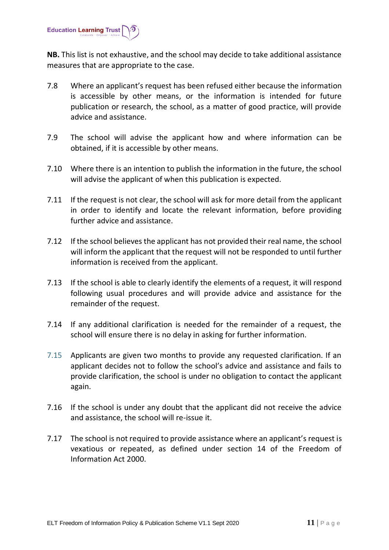

**NB.** This list is not exhaustive, and the school may decide to take additional assistance measures that are appropriate to the case.

- 7.8 Where an applicant's request has been refused either because the information is accessible by other means, or the information is intended for future publication or research, the school, as a matter of good practice, will provide advice and assistance.
- 7.9 The school will advise the applicant how and where information can be obtained, if it is accessible by other means.
- 7.10 Where there is an intention to publish the information in the future, the school will advise the applicant of when this publication is expected.
- 7.11 If the request is not clear, the school will ask for more detail from the applicant in order to identify and locate the relevant information, before providing further advice and assistance.
- 7.12 If the school believes the applicant has not provided their real name, the school will inform the applicant that the request will not be responded to until further information is received from the applicant.
- 7.13 If the school is able to clearly identify the elements of a request, it will respond following usual procedures and will provide advice and assistance for the remainder of the request.
- 7.14 If any additional clarification is needed for the remainder of a request, the school will ensure there is no delay in asking for further information.
- 7.15 Applicants are given two months to provide any requested clarification. If an applicant decides not to follow the school's advice and assistance and fails to provide clarification, the school is under no obligation to contact the applicant again.
- 7.16 If the school is under any doubt that the applicant did not receive the advice and assistance, the school will re-issue it.
- 7.17 The school is not required to provide assistance where an applicant's request is vexatious or repeated, as defined under section 14 of the Freedom of Information Act 2000.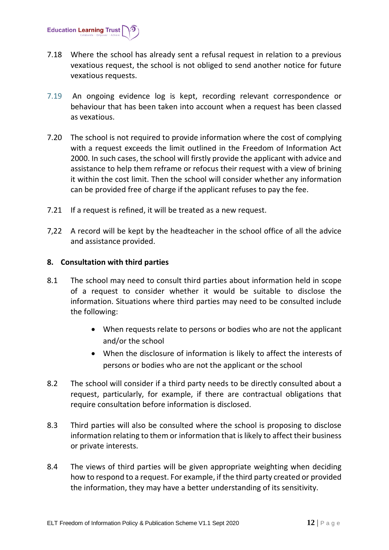

- 7.18 Where the school has already sent a refusal request in relation to a previous vexatious request, the school is not obliged to send another notice for future vexatious requests.
- 7.19 An ongoing evidence log is kept, recording relevant correspondence or behaviour that has been taken into account when a request has been classed as vexatious.
- 7.20 The school is not required to provide information where the cost of complying with a request exceeds the limit outlined in the Freedom of Information Act 2000. In such cases, the school will firstly provide the applicant with advice and assistance to help them reframe or refocus their request with a view of brining it within the cost limit. Then the school will consider whether any information can be provided free of charge if the applicant refuses to pay the fee.
- 7.21 If a request is refined, it will be treated as a new request.
- 7,22 A record will be kept by the headteacher in the school office of all the advice and assistance provided.

#### <span id="page-11-0"></span>**8. Consultation with third parties**

- 8.1 The school may need to consult third parties about information held in scope of a request to consider whether it would be suitable to disclose the information. Situations where third parties may need to be consulted include the following:
	- When requests relate to persons or bodies who are not the applicant and/or the school
	- When the disclosure of information is likely to affect the interests of persons or bodies who are not the applicant or the school
- 8.2 The school will consider if a third party needs to be directly consulted about a request, particularly, for example, if there are contractual obligations that require consultation before information is disclosed.
- 8.3 Third parties will also be consulted where the school is proposing to disclose information relating to them or information that is likely to affect their business or private interests.
- 8.4 The views of third parties will be given appropriate weighting when deciding how to respond to a request. For example, if the third party created or provided the information, they may have a better understanding of its sensitivity.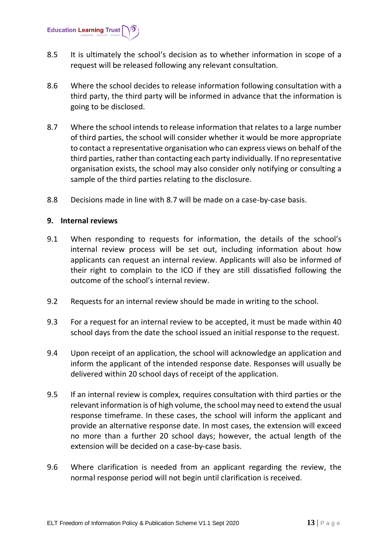**Education Learning Trust** 

- 8.5 It is ultimately the school's decision as to whether information in scope of a request will be released following any relevant consultation.
- 8.6 Where the school decides to release information following consultation with a third party, the third party will be informed in advance that the information is going to be disclosed.
- 8.7 Where the school intends to release information that relates to a large number of third parties, the school will consider whether it would be more appropriate to contact a representative organisation who can express views on behalf of the third parties, rather than contacting each party individually. If no representative organisation exists, the school may also consider only notifying or consulting a sample of the third parties relating to the disclosure.
- 8.8 Decisions made in line with 8.7 will be made on a case-by-case basis.

#### <span id="page-12-0"></span>**9. Internal reviews**

- 9.1 When responding to requests for information, the details of the school's internal review process will be set out, including information about how applicants can request an internal review. Applicants will also be informed of their right to complain to the ICO if they are still dissatisfied following the outcome of the school's internal review.
- 9.2 Requests for an internal review should be made in writing to the school.
- 9.3 For a request for an internal review to be accepted, it must be made within 40 school days from the date the school issued an initial response to the request.
- 9.4 Upon receipt of an application, the school will acknowledge an application and inform the applicant of the intended response date. Responses will usually be delivered within 20 school days of receipt of the application.
- 9.5 If an internal review is complex, requires consultation with third parties or the relevant information is of high volume, the school may need to extend the usual response timeframe. In these cases, the school will inform the applicant and provide an alternative response date. In most cases, the extension will exceed no more than a further 20 school days; however, the actual length of the extension will be decided on a case-by-case basis.
- 9.6 Where clarification is needed from an applicant regarding the review, the normal response period will not begin until clarification is received.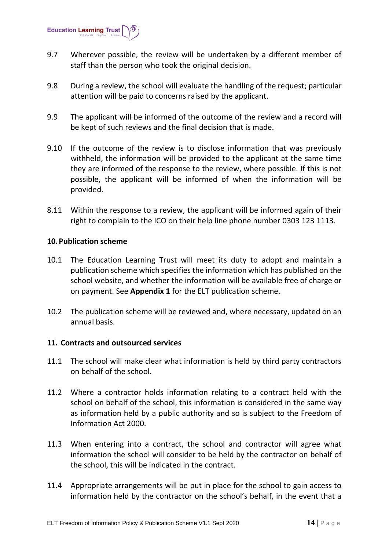

- 9.7 Wherever possible, the review will be undertaken by a different member of staff than the person who took the original decision.
- 9.8 During a review, the school will evaluate the handling of the request; particular attention will be paid to concerns raised by the applicant.
- 9.9 The applicant will be informed of the outcome of the review and a record will be kept of such reviews and the final decision that is made.
- 9.10 If the outcome of the review is to disclose information that was previously withheld, the information will be provided to the applicant at the same time they are informed of the response to the review, where possible. If this is not possible, the applicant will be informed of when the information will be provided.
- 8.11 Within the response to a review, the applicant will be informed again of their right to complain to the ICO on their help line phone number 0303 123 1113.

#### <span id="page-13-0"></span>**10.Publication scheme**

- 10.1 The Education Learning Trust will meet its duty to adopt and maintain a publication scheme which specifies the information which has published on the school website, and whether the information will be available free of charge or on payment. See **Appendix 1** for the ELT publication scheme.
- 10.2 The publication scheme will be reviewed and, where necessary, updated on an annual basis.

#### <span id="page-13-1"></span>**11. Contracts and outsourced services**

- 11.1 The school will make clear what information is held by third party contractors on behalf of the school.
- 11.2 Where a contractor holds information relating to a contract held with the school on behalf of the school, this information is considered in the same way as information held by a public authority and so is subject to the Freedom of Information Act 2000.
- 11.3 When entering into a contract, the school and contractor will agree what information the school will consider to be held by the contractor on behalf of the school, this will be indicated in the contract.
- 11.4 Appropriate arrangements will be put in place for the school to gain access to information held by the contractor on the school's behalf, in the event that a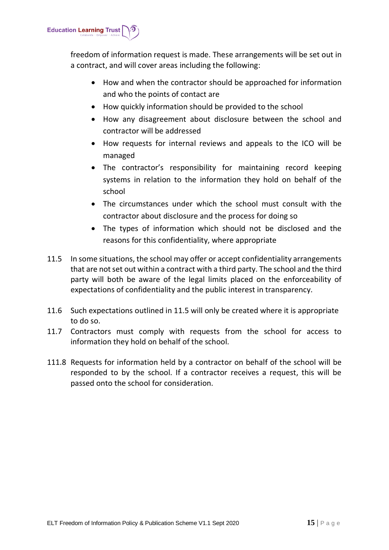

freedom of information request is made. These arrangements will be set out in a contract, and will cover areas including the following:

- How and when the contractor should be approached for information and who the points of contact are
- How quickly information should be provided to the school
- How any disagreement about disclosure between the school and contractor will be addressed
- How requests for internal reviews and appeals to the ICO will be managed
- The contractor's responsibility for maintaining record keeping systems in relation to the information they hold on behalf of the school
- The circumstances under which the school must consult with the contractor about disclosure and the process for doing so
- The types of information which should not be disclosed and the reasons for this confidentiality, where appropriate
- 11.5 In some situations, the school may offer or accept confidentiality arrangements that are not set out within a contract with a third party. The school and the third party will both be aware of the legal limits placed on the enforceability of expectations of confidentiality and the public interest in transparency.
- 11.6 Such expectations outlined in 11.5 will only be created where it is appropriate to do so.
- 11.7 Contractors must comply with requests from the school for access to information they hold on behalf of the school.
- 111.8 Requests for information held by a contractor on behalf of the school will be responded to by the school. If a contractor receives a request, this will be passed onto the school for consideration.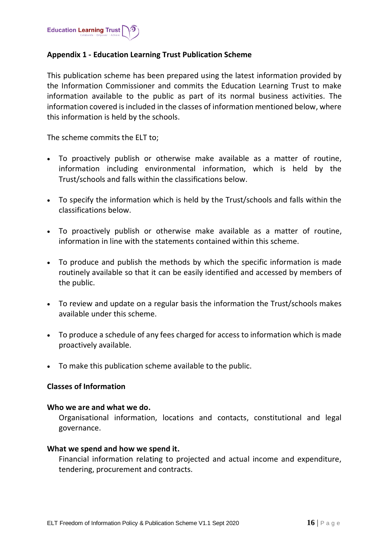

#### <span id="page-15-0"></span>**Appendix 1 - Education Learning Trust Publication Scheme**

This publication scheme has been prepared using the latest information provided by the Information Commissioner and commits the Education Learning Trust to make information available to the public as part of its normal business activities. The information covered is included in the classes of information mentioned below, where this information is held by the schools.

The scheme commits the ELT to;

- To proactively publish or otherwise make available as a matter of routine, information including environmental information, which is held by the Trust/schools and falls within the classifications below.
- To specify the information which is held by the Trust/schools and falls within the classifications below.
- To proactively publish or otherwise make available as a matter of routine, information in line with the statements contained within this scheme.
- To produce and publish the methods by which the specific information is made routinely available so that it can be easily identified and accessed by members of the public.
- To review and update on a regular basis the information the Trust/schools makes available under this scheme.
- To produce a schedule of any fees charged for access to information which is made proactively available.
- To make this publication scheme available to the public.

#### **Classes of Information**

#### **Who we are and what we do.**

Organisational information, locations and contacts, constitutional and legal governance.

#### **What we spend and how we spend it.**

Financial information relating to projected and actual income and expenditure, tendering, procurement and contracts.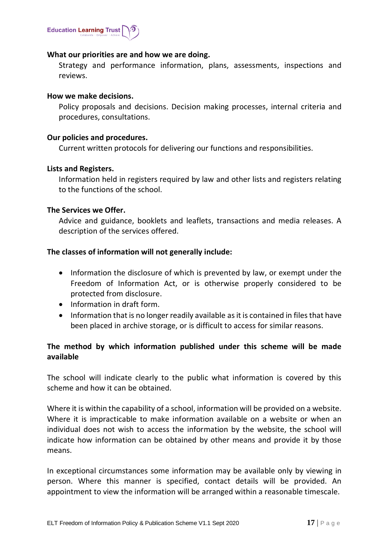

#### **What our priorities are and how we are doing.**

Strategy and performance information, plans, assessments, inspections and reviews.

#### **How we make decisions.**

Policy proposals and decisions. Decision making processes, internal criteria and procedures, consultations.

#### **Our policies and procedures.**

Current written protocols for delivering our functions and responsibilities.

#### **Lists and Registers.**

Information held in registers required by law and other lists and registers relating to the functions of the school.

#### **The Services we Offer.**

Advice and guidance, booklets and leaflets, transactions and media releases. A description of the services offered.

#### **The classes of information will not generally include:**

- Information the disclosure of which is prevented by law, or exempt under the Freedom of Information Act, or is otherwise properly considered to be protected from disclosure.
- Information in draft form.
- Information that is no longer readily available as it is contained in files that have been placed in archive storage, or is difficult to access for similar reasons.

# **The method by which information published under this scheme will be made available**

The school will indicate clearly to the public what information is covered by this scheme and how it can be obtained.

Where it is within the capability of a school, information will be provided on a website. Where it is impracticable to make information available on a website or when an individual does not wish to access the information by the website, the school will indicate how information can be obtained by other means and provide it by those means.

In exceptional circumstances some information may be available only by viewing in person. Where this manner is specified, contact details will be provided. An appointment to view the information will be arranged within a reasonable timescale.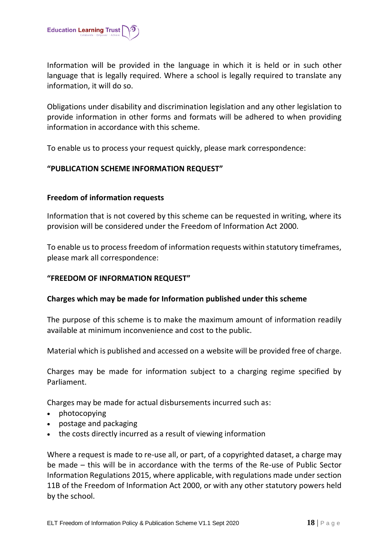

Information will be provided in the language in which it is held or in such other language that is legally required. Where a school is legally required to translate any information, it will do so.

Obligations under disability and discrimination legislation and any other legislation to provide information in other forms and formats will be adhered to when providing information in accordance with this scheme.

To enable us to process your request quickly, please mark correspondence:

#### **"PUBLICATION SCHEME INFORMATION REQUEST"**

#### **Freedom of information requests**

Information that is not covered by this scheme can be requested in writing, where its provision will be considered under the Freedom of Information Act 2000.

To enable us to process freedom of information requests within statutory timeframes, please mark all correspondence:

#### **"FREEDOM OF INFORMATION REQUEST"**

#### **Charges which may be made for Information published under this scheme**

The purpose of this scheme is to make the maximum amount of information readily available at minimum inconvenience and cost to the public.

Material which is published and accessed on a website will be provided free of charge.

Charges may be made for information subject to a charging regime specified by Parliament.

Charges may be made for actual disbursements incurred such as:

- photocopying
- postage and packaging
- the costs directly incurred as a result of viewing information

Where a request is made to re-use all, or part, of a copyrighted dataset, a charge may be made – this will be in accordance with the terms of the Re-use of Public Sector Information Regulations 2015, where applicable, with regulations made under section 11B of the Freedom of Information Act 2000, or with any other statutory powers held by the school.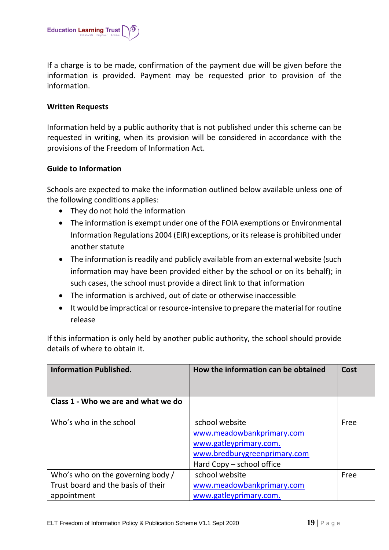

If a charge is to be made, confirmation of the payment due will be given before the information is provided. Payment may be requested prior to provision of the information.

#### **Written Requests**

Information held by a public authority that is not published under this scheme can be requested in writing, when its provision will be considered in accordance with the provisions of the Freedom of Information Act.

#### **Guide to Information**

Schools are expected to make the information outlined below available unless one of the following conditions applies:

- They do not hold the information
- The information is exempt under one of the FOIA exemptions or Environmental Information Regulations 2004 (EIR) exceptions, or its release is prohibited under another statute
- The information is readily and publicly available from an external website (such information may have been provided either by the school or on its behalf); in such cases, the school must provide a direct link to that information
- The information is archived, out of date or otherwise inaccessible
- It would be impractical or resource-intensive to prepare the material for routine release

If this information is only held by another public authority, the school should provide details of where to obtain it.

| <b>Information Published.</b>                                                          | How the information can be obtained                                                                                                | Cost |
|----------------------------------------------------------------------------------------|------------------------------------------------------------------------------------------------------------------------------------|------|
| Class 1 - Who we are and what we do                                                    |                                                                                                                                    |      |
| Who's who in the school                                                                | school website<br>www.meadowbankprimary.com<br>www.gatleyprimary.com.<br>www.bredburygreenprimary.com<br>Hard Copy – school office | Free |
| Who's who on the governing body /<br>Trust board and the basis of their<br>appointment | school website<br>www.meadowbankprimary.com<br>www.gatleyprimary.com.                                                              | Free |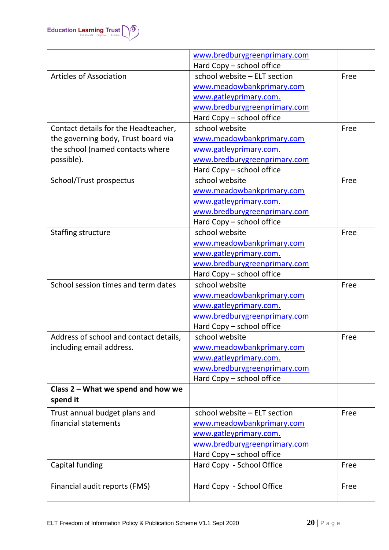

|                                        | www.bredburygreenprimary.com |      |
|----------------------------------------|------------------------------|------|
|                                        | Hard Copy - school office    |      |
| <b>Articles of Association</b>         | school website - ELT section | Free |
|                                        | www.meadowbankprimary.com    |      |
|                                        | www.gatleyprimary.com.       |      |
|                                        | www.bredburygreenprimary.com |      |
|                                        | Hard Copy - school office    |      |
| Contact details for the Headteacher,   | school website               | Free |
| the governing body, Trust board via    | www.meadowbankprimary.com    |      |
| the school (named contacts where       | www.gatleyprimary.com.       |      |
| possible).                             | www.bredburygreenprimary.com |      |
|                                        | Hard Copy - school office    |      |
| School/Trust prospectus                | school website               | Free |
|                                        | www.meadowbankprimary.com    |      |
|                                        | www.gatleyprimary.com.       |      |
|                                        | www.bredburygreenprimary.com |      |
|                                        | Hard Copy - school office    |      |
| <b>Staffing structure</b>              | school website               | Free |
|                                        | www.meadowbankprimary.com    |      |
|                                        | www.gatleyprimary.com.       |      |
|                                        | www.bredburygreenprimary.com |      |
|                                        | Hard Copy - school office    |      |
| School session times and term dates    | school website               | Free |
|                                        | www.meadowbankprimary.com    |      |
|                                        | www.gatleyprimary.com.       |      |
|                                        | www.bredburygreenprimary.com |      |
|                                        | Hard Copy - school office    |      |
| Address of school and contact details, | school website               | Free |
| including email address.               | www.meadowbankprimary.com    |      |
|                                        | www.gatleyprimary.com.       |      |
|                                        | www.bredburygreenprimary.com |      |
|                                        | Hard Copy - school office    |      |
| Class 2 - What we spend and how we     |                              |      |
| spend it                               |                              |      |
| Trust annual budget plans and          | school website - ELT section | Free |
| financial statements                   | www.meadowbankprimary.com    |      |
|                                        | www.gatleyprimary.com.       |      |
|                                        | www.bredburygreenprimary.com |      |
|                                        | Hard Copy - school office    |      |
| Capital funding                        | Hard Copy - School Office    | Free |
| Financial audit reports (FMS)          | Hard Copy - School Office    | Free |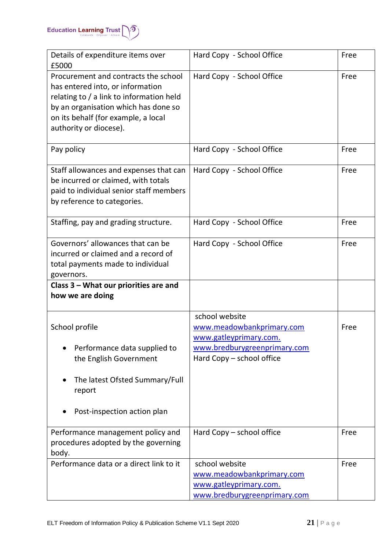

| Details of expenditure items over<br>£5000                                                                                                                                                                                    | Hard Copy - School Office                                                                                                          | Free |
|-------------------------------------------------------------------------------------------------------------------------------------------------------------------------------------------------------------------------------|------------------------------------------------------------------------------------------------------------------------------------|------|
| Procurement and contracts the school<br>has entered into, or information<br>relating to / a link to information held<br>by an organisation which has done so<br>on its behalf (for example, a local<br>authority or diocese). | Hard Copy - School Office                                                                                                          | Free |
| Pay policy                                                                                                                                                                                                                    | Hard Copy - School Office                                                                                                          | Free |
| Staff allowances and expenses that can<br>be incurred or claimed, with totals<br>paid to individual senior staff members<br>by reference to categories.                                                                       | Hard Copy - School Office                                                                                                          | Free |
| Staffing, pay and grading structure.                                                                                                                                                                                          | Hard Copy - School Office                                                                                                          | Free |
| Governors' allowances that can be<br>incurred or claimed and a record of<br>total payments made to individual<br>governors.                                                                                                   | Hard Copy - School Office                                                                                                          | Free |
| Class 3 - What our priorities are and<br>how we are doing                                                                                                                                                                     |                                                                                                                                    |      |
| School profile<br>Performance data supplied to<br>the English Government<br>The latest Ofsted Summary/Full<br>report<br>Post-inspection action plan                                                                           | school website<br>www.meadowbankprimary.com<br>www.gatleyprimary.com.<br>www.bredburygreenprimary.com<br>Hard Copy - school office | Free |
|                                                                                                                                                                                                                               |                                                                                                                                    |      |
| Performance management policy and<br>procedures adopted by the governing<br>body.                                                                                                                                             | Hard Copy – school office                                                                                                          | Free |
| Performance data or a direct link to it                                                                                                                                                                                       | school website<br>www.meadowbankprimary.com<br>www.gatleyprimary.com.<br>www.bredburygreenprimary.com                              | Free |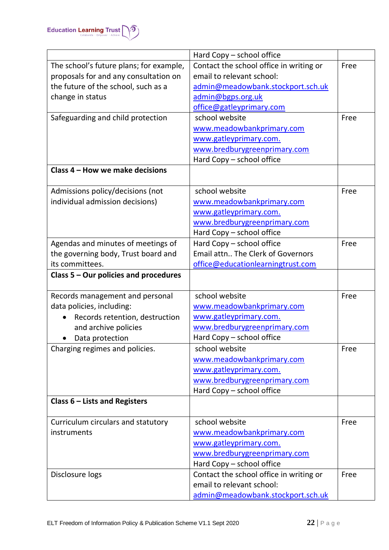

|                                                   | Hard Copy - school office                                            |      |
|---------------------------------------------------|----------------------------------------------------------------------|------|
| The school's future plans; for example,           | Contact the school office in writing or                              | Free |
| proposals for and any consultation on             | email to relevant school:                                            |      |
| the future of the school, such as a               | admin@meadowbank.stockport.sch.uk                                    |      |
| change in status                                  | admin@bgps.org.uk                                                    |      |
|                                                   | office@gatleyprimary.com                                             |      |
| Safeguarding and child protection                 | school website                                                       | Free |
|                                                   | www.meadowbankprimary.com                                            |      |
|                                                   | www.gatleyprimary.com.                                               |      |
|                                                   | www.bredburygreenprimary.com                                         |      |
|                                                   | Hard Copy - school office                                            |      |
| Class 4 - How we make decisions                   |                                                                      |      |
|                                                   |                                                                      |      |
| Admissions policy/decisions (not                  | school website                                                       | Free |
| individual admission decisions)                   | www.meadowbankprimary.com                                            |      |
|                                                   | www.gatleyprimary.com.                                               |      |
|                                                   | www.bredburygreenprimary.com                                         |      |
|                                                   | Hard Copy - school office                                            |      |
| Agendas and minutes of meetings of                | Hard Copy - school office                                            | Free |
| the governing body, Trust board and               | Email attn The Clerk of Governors                                    |      |
| its committees.                                   | office@educationlearningtrust.com                                    |      |
| Class 5 – Our policies and procedures             |                                                                      |      |
|                                                   |                                                                      |      |
| Records management and personal                   | school website                                                       | Free |
| data policies, including:                         | www.meadowbankprimary.com                                            |      |
| Records retention, destruction                    | www.gatleyprimary.com.                                               |      |
| and archive policies                              | www.bredburygreenprimary.com                                         |      |
| Data protection<br>$\bullet$                      | Hard Copy - school office                                            |      |
| Charging regimes and policies.                    | school website                                                       | Free |
|                                                   | www.meadowbankprimary.com                                            |      |
|                                                   | www.gatleyprimary.com.                                               |      |
|                                                   | www.bredburygreenprimary.com                                         |      |
|                                                   | Hard Copy - school office                                            |      |
| Class $6$ – Lists and Registers                   |                                                                      |      |
|                                                   | school website                                                       | Free |
| Curriculum circulars and statutory<br>instruments |                                                                      |      |
|                                                   | www.meadowbankprimary.com                                            |      |
|                                                   | www.gatleyprimary.com.                                               |      |
|                                                   | www.bredburygreenprimary.com                                         |      |
|                                                   | Hard Copy - school office<br>Contact the school office in writing or | Free |
| Disclosure logs                                   | email to relevant school:                                            |      |
|                                                   |                                                                      |      |
|                                                   | admin@meadowbank.stockport.sch.uk                                    |      |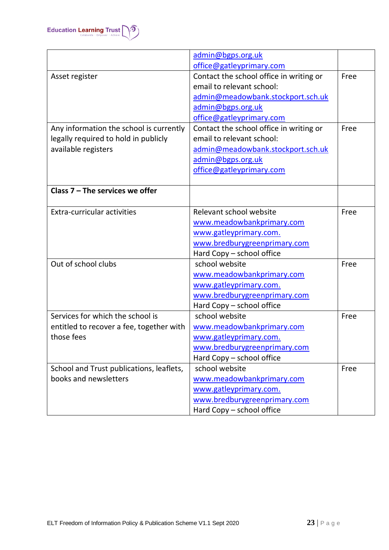

|                                          | admin@bgps.org.uk                       |      |
|------------------------------------------|-----------------------------------------|------|
|                                          | office@gatleyprimary.com                |      |
| Asset register                           | Contact the school office in writing or | Free |
|                                          | email to relevant school:               |      |
|                                          | admin@meadowbank.stockport.sch.uk       |      |
|                                          | admin@bgps.org.uk                       |      |
|                                          | office@gatleyprimary.com                |      |
| Any information the school is currently  | Contact the school office in writing or | Free |
| legally required to hold in publicly     | email to relevant school:               |      |
| available registers                      | admin@meadowbank.stockport.sch.uk       |      |
|                                          | admin@bgps.org.uk                       |      |
|                                          | office@gatleyprimary.com                |      |
|                                          |                                         |      |
| Class 7 - The services we offer          |                                         |      |
|                                          |                                         |      |
| <b>Extra-curricular activities</b>       | Relevant school website                 | Free |
|                                          | www.meadowbankprimary.com               |      |
|                                          | www.gatleyprimary.com.                  |      |
|                                          | www.bredburygreenprimary.com            |      |
|                                          | Hard Copy - school office               |      |
| Out of school clubs                      | school website                          | Free |
|                                          | www.meadowbankprimary.com               |      |
|                                          | www.gatleyprimary.com.                  |      |
|                                          | www.bredburygreenprimary.com            |      |
|                                          | Hard Copy - school office               |      |
| Services for which the school is         | school website                          | Free |
| entitled to recover a fee, together with | www.meadowbankprimary.com               |      |
| those fees                               | www.gatleyprimary.com.                  |      |
|                                          | www.bredburygreenprimary.com            |      |
|                                          | Hard Copy - school office               |      |
| School and Trust publications, leaflets, | school website                          | Free |
| books and newsletters                    | www.meadowbankprimary.com               |      |
|                                          | www.gatleyprimary.com.                  |      |
|                                          | www.bredburygreenprimary.com            |      |
|                                          | Hard Copy - school office               |      |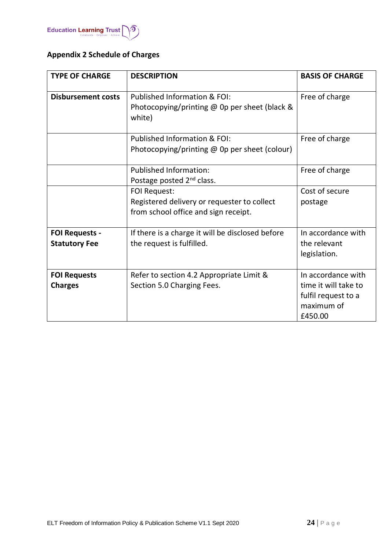

# <span id="page-23-0"></span>**Appendix 2 Schedule of Charges**

| <b>TYPE OF CHARGE</b><br><b>DESCRIPTION</b>   |                                                                                                            | <b>BASIS OF CHARGE</b>                                                                     |  |
|-----------------------------------------------|------------------------------------------------------------------------------------------------------------|--------------------------------------------------------------------------------------------|--|
| <b>Disbursement costs</b>                     | Published Information & FOI:<br>Photocopying/printing $\omega$ 0p per sheet (black &<br>white)             | Free of charge                                                                             |  |
|                                               | Published Information & FOI:<br>Photocopying/printing $@$ Op per sheet (colour)                            | Free of charge                                                                             |  |
|                                               | <b>Published Information:</b><br>Postage posted 2 <sup>nd</sup> class.                                     | Free of charge                                                                             |  |
|                                               | <b>FOI Request:</b><br>Registered delivery or requester to collect<br>from school office and sign receipt. | Cost of secure<br>postage                                                                  |  |
| <b>FOI Requests -</b><br><b>Statutory Fee</b> | If there is a charge it will be disclosed before<br>the request is fulfilled.                              | In accordance with<br>the relevant<br>legislation.                                         |  |
| <b>FOI Requests</b><br><b>Charges</b>         | Refer to section 4.2 Appropriate Limit &<br>Section 5.0 Charging Fees.                                     | In accordance with<br>time it will take to<br>fulfil request to a<br>maximum of<br>£450.00 |  |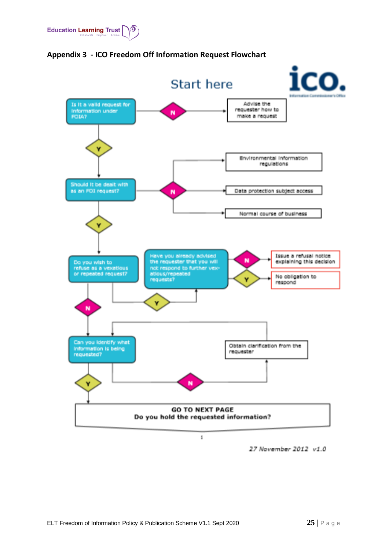



<span id="page-24-0"></span>**Appendix 3 - ICO Freedom Off Information Request Flowchart**

27 November 2012 v1.0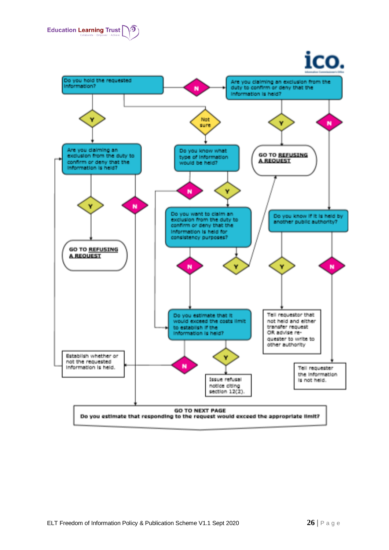

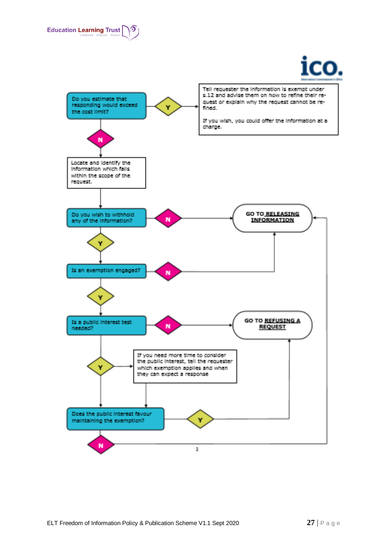



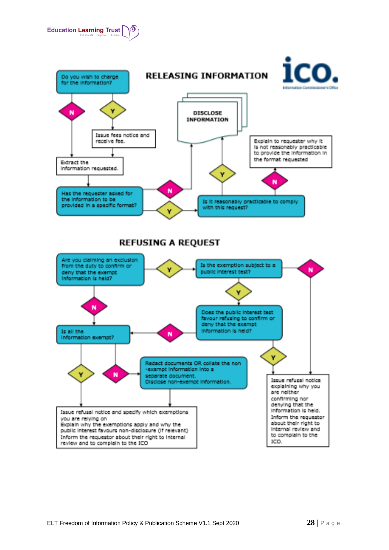